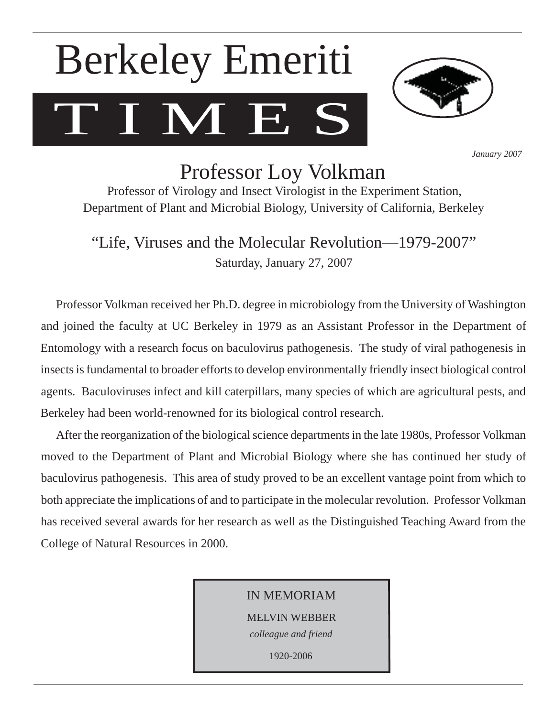# T I M E Berkeley Emeriti



*January 2007*

# Professor Loy Volkman

Professor of Virology and Insect Virologist in the Experiment Station, Department of Plant and Microbial Biology, University of California, Berkeley

"Life, Viruses and the Molecular Revolution—1979-2007" Saturday, January 27, 2007

 Professor Volkman received her Ph.D. degree in microbiology from the University of Washington and joined the faculty at UC Berkeley in 1979 as an Assistant Professor in the Department of Entomology with a research focus on baculovirus pathogenesis. The study of viral pathogenesis in insects is fundamental to broader efforts to develop environmentally friendly insect biological control agents. Baculoviruses infect and kill caterpillars, many species of which are agricultural pests, and Berkeley had been world-renowned for its biological control research.

 After the reorganization of the biological science departments in the late 1980s, Professor Volkman moved to the Department of Plant and Microbial Biology where she has continued her study of baculovirus pathogenesis. This area of study proved to be an excellent vantage point from which to both appreciate the implications of and to participate in the molecular revolution. Professor Volkman has received several awards for her research as well as the Distinguished Teaching Award from the College of Natural Resources in 2000.

### IN MEMORIAM

MELVIN WEBBER *colleague and friend*

1920-2006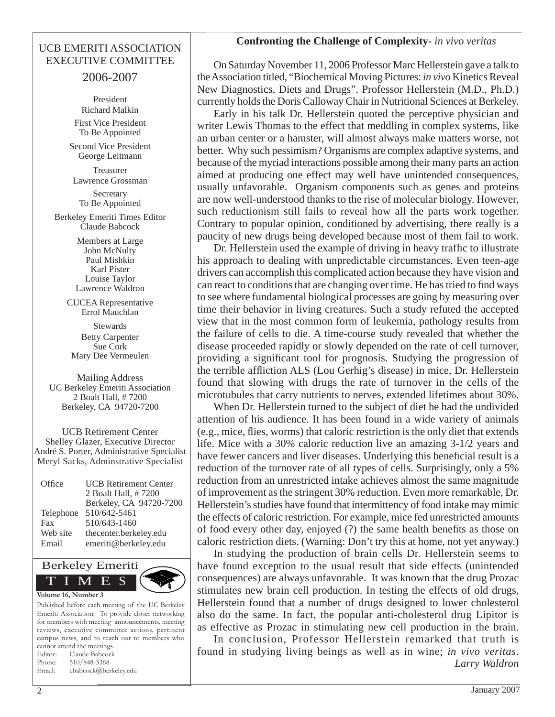## UCB EMERITI ASSOCIATION EXECUTIVE COMMITTEE

#### 2006-2007

President Richard Malkin First Vice President To Be Appointed

Second Vice President George Leitmann

Treasurer Lawrence Grossman

Secretary To Be Appointed

Berkeley Emeriti Times Editor Claude Babcock

> Members at Large John McNulty Paul Mishkin Karl Pister Louise Taylor Lawrence Waldron

CUCEA Representative Errol Mauchlan

Stewards Betty Carpenter Sue Cork Mary Dee Vermeulen

Mailing Address UC Berkeley Emeriti Association 2 Boalt Hall, # 7200 Berkeley, CA 94720-7200

UCB Retirement Center Shelley Glazer, Executive Director André S. Porter, Administrative Specialist Meryl Sacks, Adminstrative Specialist

| Office    | <b>UCB Retirement Center</b><br>2 Boalt Hall, #7200 |
|-----------|-----------------------------------------------------|
|           | Berkeley, CA 94720-7200                             |
| Telephone | 510/642-5461                                        |
| Fax       | 510/643-1460                                        |
| Web site  | thecenter.berkeley.edu                              |
| Email     | emeriti@berkeley.edu                                |



Published before each meeting of the UC Berkeley Emeriti Association: To provide closer networking for members with meeting announcements, meeting reviews, executive committee actions, pertinent campus news, and to reach out to members who cannot attend the meetings. Editor: Claude Babcock Phone: 510/848-3368 Email: cbabcock@berkeley.edu

#### **Confronting the Challenge of Complexity-** *in vivo veritas*

 On Saturday November 11, 2006 Professor Marc Hellerstein gave a talk to the Association titled, "Biochemical Moving Pictures: *in vivo* Kinetics Reveal New Diagnostics, Diets and Drugs". Professor Hellerstein (M.D., Ph.D.) currently holds the Doris Calloway Chair in Nutritional Sciences at Berkeley.

 Early in his talk Dr. Hellerstein quoted the perceptive physician and writer Lewis Thomas to the effect that meddling in complex systems, like an urban center or a hamster, will almost always make matters worse, not better. Why such pessimism? Organisms are complex adaptive systems, and because of the myriad interactions possible among their many parts an action aimed at producing one effect may well have unintended consequences, usually unfavorable. Organism components such as genes and proteins are now well-understood thanks to the rise of molecular biology. However, such reductionism still fails to reveal how all the parts work together. Contrary to popular opinion, conditioned by advertising, there really is a paucity of new drugs being developed because most of them fail to work.

Dr. Hellerstein used the example of driving in heavy traffic to illustrate his approach to dealing with unpredictable circumstances. Even teen-age drivers can accomplish this complicated action because they have vision and can react to conditions that are changing over time. He has tried to find ways to see where fundamental biological processes are going by measuring over time their behavior in living creatures. Such a study refuted the accepted view that in the most common form of leukemia, pathology results from the failure of cells to die. A time-course study revealed that whether the disease proceeded rapidly or slowly depended on the rate of cell turnover, providing a significant tool for prognosis. Studying the progression of the terrible affliction ALS (Lou Gerhig's disease) in mice, Dr. Hellerstein found that slowing with drugs the rate of turnover in the cells of the microtubules that carry nutrients to nerves, extended lifetimes about 30%.

 When Dr. Hellerstein turned to the subject of diet he had the undivided attention of his audience. It has been found in a wide variety of animals  $(e.g., mice, flies, worms)$  that caloric restriction is the only diet that extends life. Mice with a 30% caloric reduction live an amazing 3-1/2 years and have fewer cancers and liver diseases. Underlying this beneficial result is a reduction of the turnover rate of all types of cells. Surprisingly, only a 5% reduction from an unrestricted intake achieves almost the same magnitude of improvement as the stringent 30% reduction. Even more remarkable, Dr. Hellerstein's studies have found that intermittency of food intake may mimic the effects of caloric restriction. For example, mice fed unrestricted amounts of food every other day, enjoyed (?) the same health benefits as those on caloric restriction diets. (Warning: Don't try this at home, not yet anyway.)

 In studying the production of brain cells Dr. Hellerstein seems to have found exception to the usual result that side effects (unintended consequences) are always unfavorable. It was known that the drug Prozac stimulates new brain cell production. In testing the effects of old drugs, Hellerstein found that a number of drugs designed to lower cholesterol also do the same. In fact, the popular anti-cholesterol drug Lipitor is as effective as Prozac in stimulating new cell production in the brain.

 In conclusion, Professor Hellerstein remarked that truth is found in studying living beings as well as in wine; *in vivo veritas*. *Larry Waldron*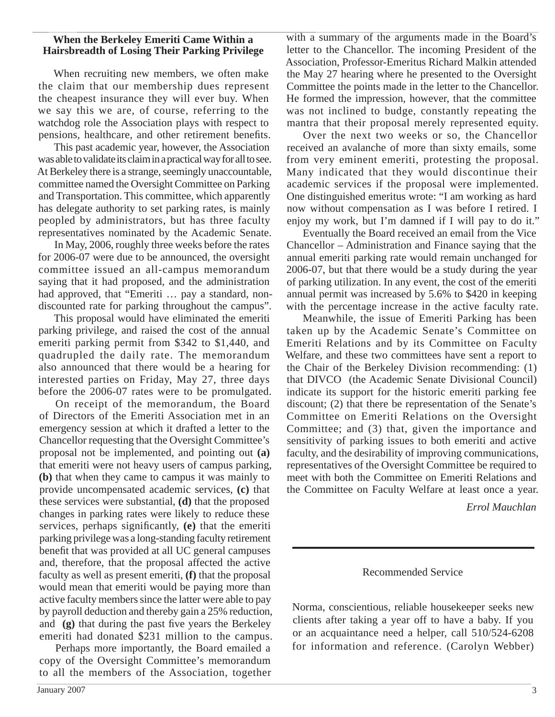#### **When the Berkeley Emeriti Came Within a Hairsbreadth of Losing Their Parking Privilege**

When recruiting new members, we often make the claim that our membership dues represent the cheapest insurance they will ever buy. When we say this we are, of course, referring to the watchdog role the Association plays with respect to pensions, healthcare, and other retirement benefits.

This past academic year, however, the Association was able to validate its claim in a practical way for all to see. At Berkeley there is a strange, seemingly unaccountable, committee named the Oversight Committee on Parking and Transportation. This committee, which apparently has delegate authority to set parking rates, is mainly peopled by administrators, but has three faculty representatives nominated by the Academic Senate.

In May, 2006, roughly three weeks before the rates for 2006-07 were due to be announced, the oversight committee issued an all-campus memorandum saying that it had proposed, and the administration had approved, that "Emeriti ... pay a standard, nondiscounted rate for parking throughout the campus".

This proposal would have eliminated the emeriti parking privilege, and raised the cost of the annual emeriti parking permit from \$342 to \$1,440, and quadrupled the daily rate. The memorandum also announced that there would be a hearing for interested parties on Friday, May 27, three days before the 2006-07 rates were to be promulgated.

On receipt of the memorandum, the Board of Directors of the Emeriti Association met in an emergency session at which it drafted a letter to the Chancellor requesting that the Oversight Committee's proposal not be implemented, and pointing out **(a)**  that emeriti were not heavy users of campus parking, **(b)** that when they came to campus it was mainly to provide uncompensated academic services, **(c)** that these services were substantial, **(d)** that the proposed changes in parking rates were likely to reduce these services, perhaps significantly, **(e)** that the emeriti parking privilege was a long-standing faculty retirement benefit that was provided at all UC general campuses and, therefore, that the proposal affected the active faculty as well as present emeriti, **(f)** that the proposal would mean that emeriti would be paying more than active faculty members since the latter were able to pay by payroll deduction and thereby gain a 25% reduction, and  $(g)$  that during the past five years the Berkeley emeriti had donated \$231 million to the campus.

Perhaps more importantly, the Board emailed a copy of the Oversight Committee's memorandum to all the members of the Association, together

with a summary of the arguments made in the Board's letter to the Chancellor. The incoming President of the Association, Professor-Emeritus Richard Malkin attended the May 27 hearing where he presented to the Oversight Committee the points made in the letter to the Chancellor. He formed the impression, however, that the committee was not inclined to budge, constantly repeating the mantra that their proposal merely represented equity.

Over the next two weeks or so, the Chancellor received an avalanche of more than sixty emails, some from very eminent emeriti, protesting the proposal. Many indicated that they would discontinue their academic services if the proposal were implemented. One distinguished emeritus wrote: "I am working as hard now without compensation as I was before I retired. I enjoy my work, but I'm damned if I will pay to do it."

Eventually the Board received an email from the Vice Chancellor – Administration and Finance saying that the annual emeriti parking rate would remain unchanged for 2006-07, but that there would be a study during the year of parking utilization. In any event, the cost of the emeriti annual permit was increased by 5.6% to \$420 in keeping with the percentage increase in the active faculty rate.

Meanwhile, the issue of Emeriti Parking has been taken up by the Academic Senate's Committee on Emeriti Relations and by its Committee on Faculty Welfare, and these two committees have sent a report to the Chair of the Berkeley Division recommending: (1) that DIVCO (the Academic Senate Divisional Council) indicate its support for the historic emeriti parking fee discount; (2) that there be representation of the Senate's Committee on Emeriti Relations on the Oversight Committee; and (3) that, given the importance and sensitivity of parking issues to both emeriti and active faculty, and the desirability of improving communications, representatives of the Oversight Committee be required to meet with both the Committee on Emeriti Relations and the Committee on Faculty Welfare at least once a year.

*Errol Mauchlan*

#### Recommended Service

Norma, conscientious, reliable housekeeper seeks new clients after taking a year off to have a baby. If you or an acquaintance need a helper, call 510/524-6208 for information and reference. (Carolyn Webber)